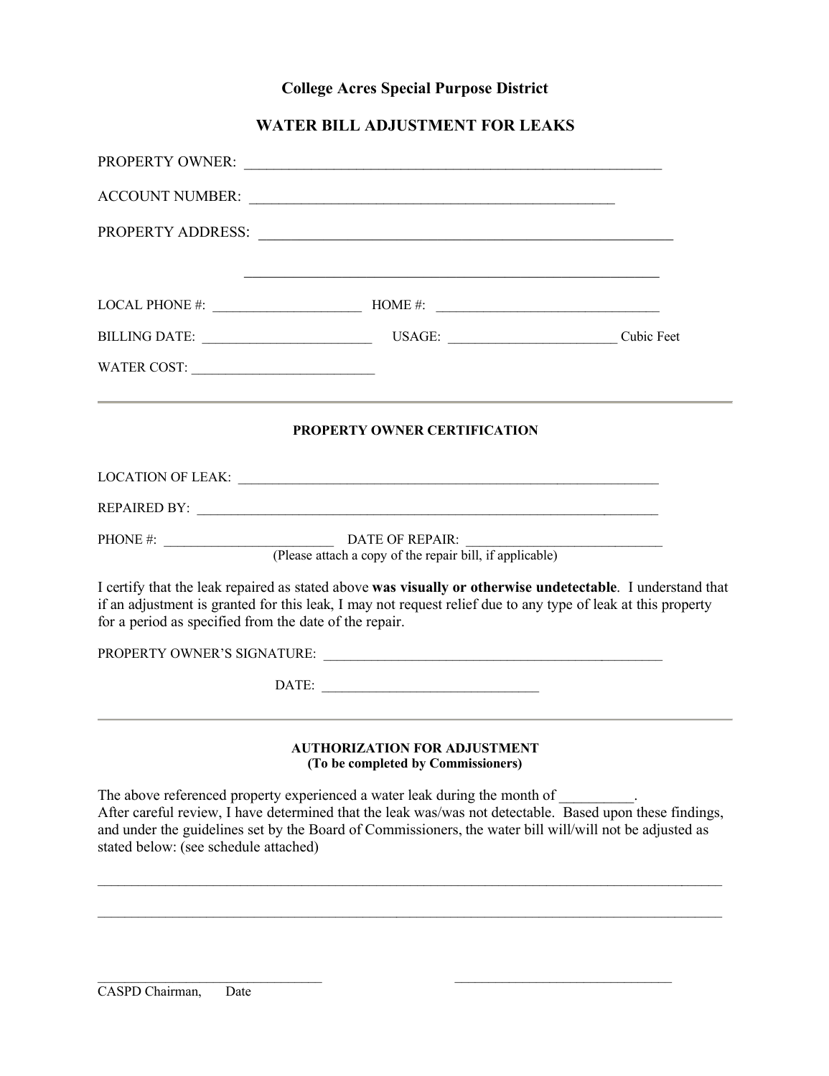## **College Acres Special Purpose District**

## **WATER BILL ADJUSTMENT FOR LEAKS**

|                                       | LOCAL PHONE #: $\_\_\_\_\_\_\_\_\$ HOME #: $\_\_\_\_\_\_\_\_\_\_\_\_\_\_\_\_$                                                                                                                                                                                                                     |  |
|---------------------------------------|---------------------------------------------------------------------------------------------------------------------------------------------------------------------------------------------------------------------------------------------------------------------------------------------------|--|
|                                       |                                                                                                                                                                                                                                                                                                   |  |
| WATER COST:                           |                                                                                                                                                                                                                                                                                                   |  |
|                                       | <b>PROPERTY OWNER CERTIFICATION</b>                                                                                                                                                                                                                                                               |  |
|                                       |                                                                                                                                                                                                                                                                                                   |  |
|                                       |                                                                                                                                                                                                                                                                                                   |  |
|                                       |                                                                                                                                                                                                                                                                                                   |  |
|                                       | I certify that the leak repaired as stated above was visually or otherwise undetectable. I understand that<br>if an adjustment is granted for this leak, I may not request relief due to any type of leak at this property<br>for a period as specified from the date of the repair.              |  |
|                                       |                                                                                                                                                                                                                                                                                                   |  |
|                                       | DATE:                                                                                                                                                                                                                                                                                             |  |
|                                       | AUTHORIZATION FOR ADJUSTMENT<br>(To be completed by Commissioners)                                                                                                                                                                                                                                |  |
| stated below: (see schedule attached) | The above referenced property experienced a water leak during the month of<br>After careful review, I have determined that the leak was/was not detectable. Based upon these findings,<br>and under the guidelines set by the Board of Commissioners, the water bill will/will not be adjusted as |  |

\_\_\_\_\_\_\_\_\_\_\_\_\_\_\_\_\_\_\_\_\_\_\_\_\_\_\_\_\_\_\_\_\_\_\_\_\_\_\_\_\_\_\_\_\_\_\_\_\_\_\_\_\_\_\_\_\_\_\_\_\_\_\_\_\_\_\_\_\_\_\_\_\_\_\_\_\_\_\_\_\_\_\_\_\_\_\_\_\_\_\_\_

\_\_\_\_\_\_\_\_\_\_\_\_\_\_\_\_\_\_\_\_\_\_\_\_\_\_\_\_\_\_\_\_\_\_\_\_\_\_\_\_\_\_\_\_\_\_\_\_\_\_\_\_\_\_\_\_\_\_\_\_\_\_\_\_\_\_\_\_\_\_\_\_\_\_\_\_\_\_\_\_\_\_\_\_\_\_\_\_\_\_\_\_

 $\mathcal{L}_\text{max}$  , and the contribution of the contribution of the contribution of the contribution of the contribution of the contribution of the contribution of the contribution of the contribution of the contribution of t